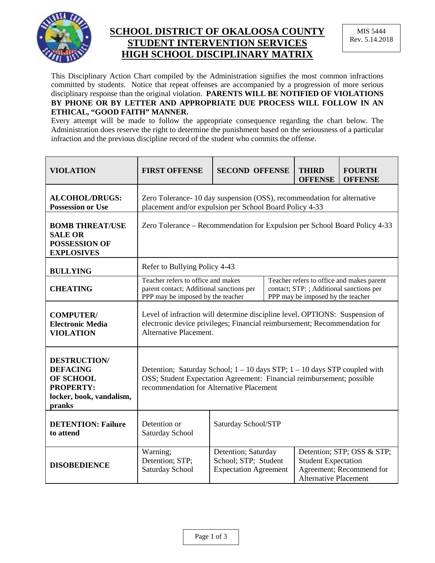

## **SCHOOL DISTRICT OF OKALOOSA COUNTY STUDENT INTERVENTION SERVICES HIGH SCHOOL DISCIPLINARY MATRIX**

This Disciplinary Action Chart compiled by the Administration signifies the most common infractions committed by students. Notice that repeat offenses are accompanied by a progression of more serious disciplinary response than the original violation. **PARENTS WILL BE NOTIFIED OF VIOLATIONS BY PHONE OR BY LETTER AND APPROPRIATE DUE PROCESS WILL FOLLOW IN AN ETHICAL, "GOOD FAITH" MANNER.**

Every attempt will be made to follow the appropriate consequence regarding the chart below. The Administration does reserve the right to determine the punishment based on the seriousness of a particular infraction and the previous discipline record of the student who commits the offense.

| <b>VIOLATION</b>                                                                                                     | <b>FIRST OFFENSE</b>                                                                                                                                                                               | <b>SECOND OFFENSE</b>                                                       |  | <b>THIRD</b><br><b>OFFENSE</b>                                                                                             | <b>FOURTH</b><br><b>OFFENSE</b>                        |  |
|----------------------------------------------------------------------------------------------------------------------|----------------------------------------------------------------------------------------------------------------------------------------------------------------------------------------------------|-----------------------------------------------------------------------------|--|----------------------------------------------------------------------------------------------------------------------------|--------------------------------------------------------|--|
| <b>ALCOHOL/DRUGS:</b><br><b>Possession or Use</b>                                                                    | Zero Tolerance - 10 day suspension (OSS), recommendation for alternative<br>placement and/or expulsion per School Board Policy 4-33                                                                |                                                                             |  |                                                                                                                            |                                                        |  |
| <b>BOMB THREAT/USE</b><br><b>SALE OR</b><br><b>POSSESSION OF</b><br><b>EXPLOSIVES</b>                                | Zero Tolerance – Recommendation for Expulsion per School Board Policy 4-33                                                                                                                         |                                                                             |  |                                                                                                                            |                                                        |  |
| <b>BULLYING</b>                                                                                                      | Refer to Bullying Policy 4-43                                                                                                                                                                      |                                                                             |  |                                                                                                                            |                                                        |  |
| <b>CHEATING</b>                                                                                                      | Teacher refers to office and makes<br>parent contact; Additional sanctions per<br>PPP may be imposed by the teacher                                                                                |                                                                             |  | Teacher refers to office and makes parent<br>contact; STP: ; Additional sanctions per<br>PPP may be imposed by the teacher |                                                        |  |
| <b>COMPUTER/</b><br><b>Electronic Media</b><br><b>VIOLATION</b>                                                      | Level of infraction will determine discipline level. OPTIONS: Suspension of<br>electronic device privileges; Financial reimbursement; Recommendation for<br>Alternative Placement.                 |                                                                             |  |                                                                                                                            |                                                        |  |
| <b>DESTRUCTION/</b><br><b>DEFACING</b><br><b>OF SCHOOL</b><br><b>PROPERTY:</b><br>locker, book, vandalism,<br>pranks | Detention; Saturday School; $1 - 10$ days STP; $1 - 10$ days STP coupled with<br>OSS; Student Expectation Agreement: Financial reimbursement; possible<br>recommendation for Alternative Placement |                                                                             |  |                                                                                                                            |                                                        |  |
| <b>DETENTION: Failure</b><br>to attend                                                                               | Detention or<br>Saturday School                                                                                                                                                                    | Saturday School/STP                                                         |  |                                                                                                                            |                                                        |  |
| <b>DISOBEDIENCE</b>                                                                                                  | Warning;<br>Detention; STP;<br>Saturday School                                                                                                                                                     | Detention; Saturday<br>School; STP; Student<br><b>Expectation Agreement</b> |  | <b>Student Expectation</b><br><b>Alternative Placement</b>                                                                 | Detention; STP; OSS & STP;<br>Agreement; Recommend for |  |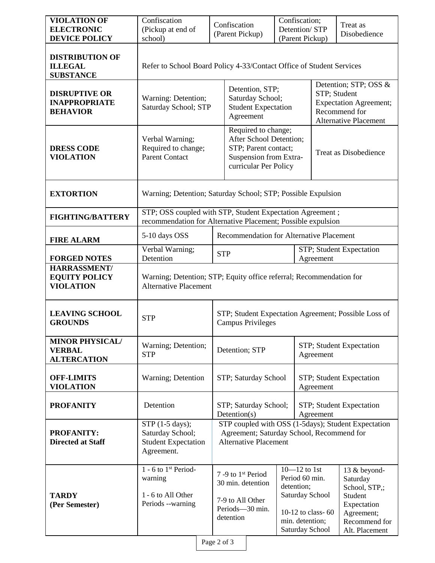| <b>VIOLATION OF</b><br><b>ELECTRONIC</b><br><b>DEVICE POLICY</b> | Confiscation<br>(Pickup at end of<br>school)                                                                              |                                          | Confiscation<br>(Parent Pickup)                                                                                                  | Confiscation;<br>Detention/STP<br>(Parent Pickup) |                                                                                                                                |                                                                                                                         | Treat as<br>Disobedience                                                                                             |
|------------------------------------------------------------------|---------------------------------------------------------------------------------------------------------------------------|------------------------------------------|----------------------------------------------------------------------------------------------------------------------------------|---------------------------------------------------|--------------------------------------------------------------------------------------------------------------------------------|-------------------------------------------------------------------------------------------------------------------------|----------------------------------------------------------------------------------------------------------------------|
| <b>DISTRIBUTION OF</b><br><b>ILLEGAL</b><br><b>SUBSTANCE</b>     | Refer to School Board Policy 4-33/Contact Office of Student Services                                                      |                                          |                                                                                                                                  |                                                   |                                                                                                                                |                                                                                                                         |                                                                                                                      |
| <b>DISRUPTIVE OR</b><br><b>INAPPROPRIATE</b><br><b>BEHAVIOR</b>  | Warning: Detention;<br>Saturday School; STP                                                                               |                                          | Detention, STP;<br>Saturday School;<br><b>Student Expectation</b><br>Agreement                                                   |                                                   |                                                                                                                                | Detention; STP; OSS &<br>STP; Student<br><b>Expectation Agreement;</b><br>Recommend for<br><b>Alternative Placement</b> |                                                                                                                      |
| <b>DRESS CODE</b><br><b>VIOLATION</b>                            | Verbal Warning;<br>Required to change;<br><b>Parent Contact</b>                                                           |                                          | Required to change;<br>After School Detention;<br>STP; Parent contact;<br>Suspension from Extra-<br>curricular Per Policy        |                                                   |                                                                                                                                | <b>Treat as Disobedience</b>                                                                                            |                                                                                                                      |
| <b>EXTORTION</b>                                                 | Warning; Detention; Saturday School; STP; Possible Expulsion                                                              |                                          |                                                                                                                                  |                                                   |                                                                                                                                |                                                                                                                         |                                                                                                                      |
| <b>FIGHTING/BATTERY</b>                                          | STP; OSS coupled with STP, Student Expectation Agreement;<br>recommendation for Alternative Placement; Possible expulsion |                                          |                                                                                                                                  |                                                   |                                                                                                                                |                                                                                                                         |                                                                                                                      |
| <b>FIRE ALARM</b>                                                | 5-10 days OSS                                                                                                             | Recommendation for Alternative Placement |                                                                                                                                  |                                                   |                                                                                                                                |                                                                                                                         |                                                                                                                      |
| <b>FORGED NOTES</b>                                              | Verbal Warning;<br>Detention                                                                                              | <b>STP</b>                               |                                                                                                                                  |                                                   | Agreement                                                                                                                      | STP; Student Expectation                                                                                                |                                                                                                                      |
| HARRASSMENT/<br><b>EQUITY POLICY</b><br><b>VIOLATION</b>         | Warning; Detention; STP; Equity office referral; Recommendation for<br><b>Alternative Placement</b>                       |                                          |                                                                                                                                  |                                                   |                                                                                                                                |                                                                                                                         |                                                                                                                      |
| <b>LEAVING SCHOOL</b><br><b>GROUNDS</b>                          | <b>STP</b>                                                                                                                |                                          | STP; Student Expectation Agreement; Possible Loss of<br><b>Campus Privileges</b>                                                 |                                                   |                                                                                                                                |                                                                                                                         |                                                                                                                      |
| <b>MINOR PHYSICAL/</b><br><b>VERBAL</b><br><b>ALTERCATION</b>    | Warning; Detention;<br><b>STP</b>                                                                                         |                                          | STP; Student Expectation<br>Detention; STP<br>Agreement                                                                          |                                                   |                                                                                                                                |                                                                                                                         |                                                                                                                      |
| <b>OFF-LIMITS</b><br><b>VIOLATION</b>                            | Warning; Detention                                                                                                        |                                          | STP; Saturday School                                                                                                             |                                                   | Agreement                                                                                                                      | STP; Student Expectation                                                                                                |                                                                                                                      |
| <b>PROFANITY</b>                                                 | Detention                                                                                                                 |                                          | STP; Saturday School;<br>STP; Student Expectation<br>Detention(s)<br>Agreement                                                   |                                                   |                                                                                                                                |                                                                                                                         |                                                                                                                      |
| <b>PROFANITY:</b><br><b>Directed at Staff</b>                    | STP (1-5 days);<br>Saturday School;<br><b>Student Expectation</b><br>Agreement.                                           |                                          | STP coupled with OSS (1-5days); Student Expectation<br>Agreement; Saturday School, Recommend for<br><b>Alternative Placement</b> |                                                   |                                                                                                                                |                                                                                                                         |                                                                                                                      |
| <b>TARDY</b><br>(Per Semester)                                   | $1 - 6$ to $1st Period-$<br>warning<br>1 - 6 to All Other<br>Periods --warning                                            |                                          | 7 -9 to 1 <sup>st</sup> Period<br>30 min. detention<br>7-9 to All Other<br>Periods-30 min.<br>detention                          |                                                   | $10 - 12$ to 1st<br>Period 60 min.<br>detention;<br>Saturday School<br>10-12 to class-60<br>min. detention;<br>Saturday School |                                                                                                                         | 13 & beyond-<br>Saturday<br>School, STP,;<br>Student<br>Expectation<br>Agreement;<br>Recommend for<br>Alt. Placement |